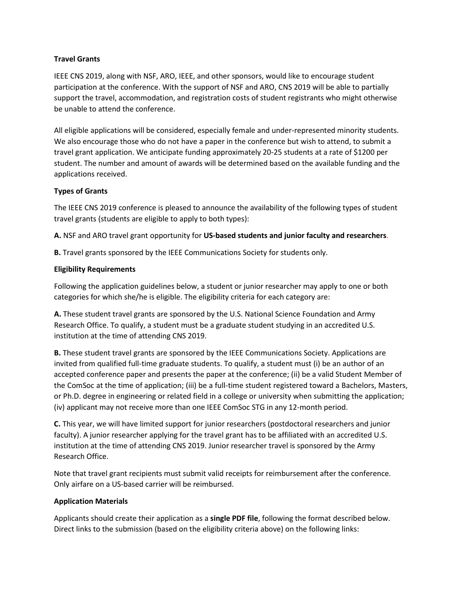### **Travel Grants**

IEEE CNS 2019, along with NSF, ARO, IEEE, and other sponsors, would like to encourage student participation at the conference. With the support of NSF and ARO, CNS 2019 will be able to partially support the travel, accommodation, and registration costs of student registrants who might otherwise be unable to attend the conference.

All eligible applications will be considered, especially female and under-represented minority students. We also encourage those who do not have a paper in the conference but wish to attend, to submit a travel grant application. We anticipate funding approximately 20-25 students at a rate of \$1200 per student. The number and amount of awards will be determined based on the available funding and the applications received.

# **Types of Grants**

The IEEE CNS 2019 conference is pleased to announce the availability of the following types of student travel grants (students are eligible to apply to both types):

**A.** NSF and ARO travel grant opportunity for **US-based students and junior faculty and researchers**.

**B.** Travel grants sponsored by the IEEE Communications Society for students only.

## **Eligibility Requirements**

Following the application guidelines below, a student or junior researcher may apply to one or both categories for which she/he is eligible. The eligibility criteria for each category are:

**A.** These student travel grants are sponsored by the U.S. National Science Foundation and Army Research Office. To qualify, a student must be a graduate student studying in an accredited U.S. institution at the time of attending CNS 2019.

**B.** These student travel grants are sponsored by the IEEE Communications Society. Applications are invited from qualified full-time graduate students. To qualify, a student must (i) be an author of an accepted conference paper and presents the paper at the conference; (ii) be a valid Student Member of the ComSoc at the time of application; (iii) be a full-time student registered toward a Bachelors, Masters, or Ph.D. degree in engineering or related field in a college or university when submitting the application; (iv) applicant may not receive more than one IEEE ComSoc STG in any 12-month period.

**C.** This year, we will have limited support for junior researchers (postdoctoral researchers and junior faculty). A junior researcher applying for the travel grant has to be affiliated with an accredited U.S. institution at the time of attending CNS 2019. Junior researcher travel is sponsored by the Army Research Office.

Note that travel grant recipients must submit valid receipts for reimbursement after the conference. Only airfare on a US-based carrier will be reimbursed.

### **Application Materials**

Applicants should create their application as a **single PDF file**, following the format described below. Direct links to the submission (based on the eligibility criteria above) on the following links: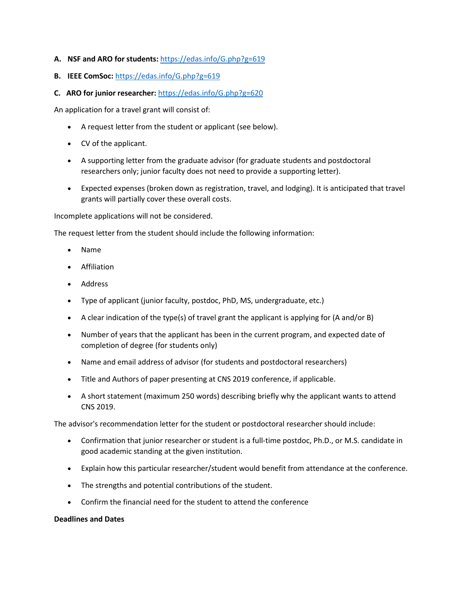## **A. NSF and ARO for students:** <https://edas.info/G.php?g=619>

- **B. IEEE ComSoc:** <https://edas.info/G.php?g=619>
- **C. ARO for junior researcher:** <https://edas.info/G.php?g=620>

An application for a travel grant will consist of:

- A request letter from the student or applicant (see below).
- CV of the applicant.
- A supporting letter from the graduate advisor (for graduate students and postdoctoral researchers only; junior faculty does not need to provide a supporting letter).
- Expected expenses (broken down as registration, travel, and lodging). It is anticipated that travel grants will partially cover these overall costs.

Incomplete applications will not be considered.

The request letter from the student should include the following information:

- Name
- Affiliation
- Address
- Type of applicant (junior faculty, postdoc, PhD, MS, undergraduate, etc.)
- A clear indication of the type(s) of travel grant the applicant is applying for (A and/or B)
- Number of years that the applicant has been in the current program, and expected date of completion of degree (for students only)
- Name and email address of advisor (for students and postdoctoral researchers)
- Title and Authors of paper presenting at CNS 2019 conference, if applicable.
- A short statement (maximum 250 words) describing briefly why the applicant wants to attend CNS 2019.

The advisor's recommendation letter for the student or postdoctoral researcher should include:

- Confirmation that junior researcher or student is a full-time postdoc, Ph.D., or M.S. candidate in good academic standing at the given institution.
- Explain how this particular researcher/student would benefit from attendance at the conference.
- The strengths and potential contributions of the student.
- Confirm the financial need for the student to attend the conference

#### **Deadlines and Dates**